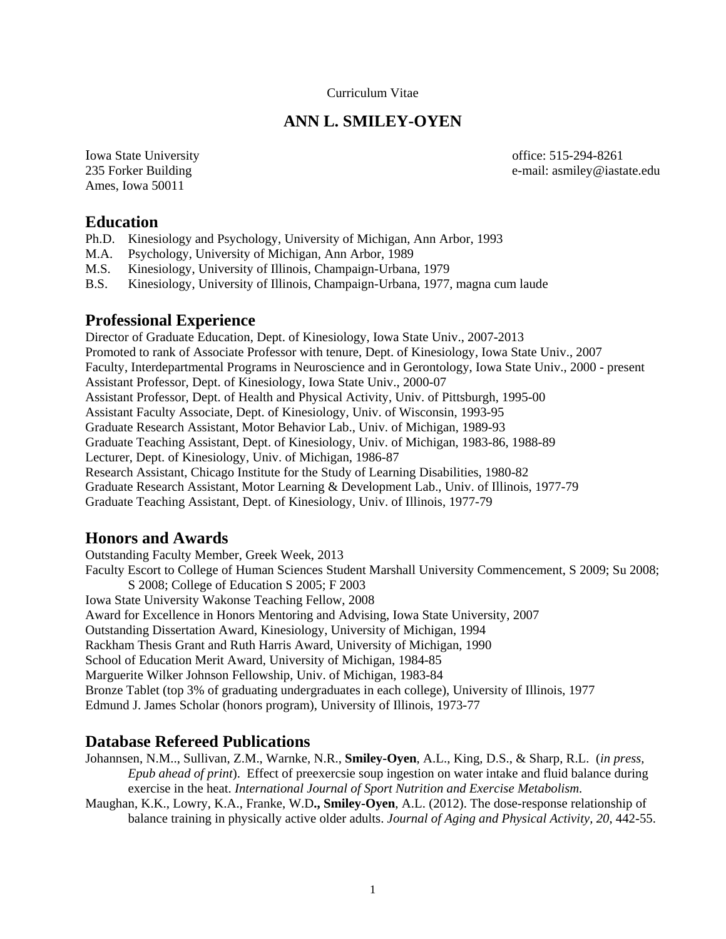### Curriculum Vitae

## **ANN L. SMILEY-OYEN**

Iowa State University office: 515-294-8261 Ames, Iowa 50011

235 Forker Building e-mail: asmiley@iastate.edu

### **Education**

- Ph.D. Kinesiology and Psychology, University of Michigan, Ann Arbor, 1993
- M.A. Psychology, University of Michigan, Ann Arbor, 1989
- M.S. Kinesiology, University of Illinois, Champaign-Urbana, 1979
- B.S. Kinesiology, University of Illinois, Champaign-Urbana, 1977, magna cum laude

### **Professional Experience**

Director of Graduate Education, Dept. of Kinesiology, Iowa State Univ., 2007-2013 Promoted to rank of Associate Professor with tenure, Dept. of Kinesiology, Iowa State Univ., 2007 Faculty, Interdepartmental Programs in Neuroscience and in Gerontology, Iowa State Univ., 2000 - present Assistant Professor, Dept. of Kinesiology, Iowa State Univ., 2000-07 Assistant Professor, Dept. of Health and Physical Activity, Univ. of Pittsburgh, 1995-00 Assistant Faculty Associate, Dept. of Kinesiology, Univ. of Wisconsin, 1993-95 Graduate Research Assistant, Motor Behavior Lab., Univ. of Michigan, 1989-93 Graduate Teaching Assistant, Dept. of Kinesiology, Univ. of Michigan, 1983-86, 1988-89 Lecturer, Dept. of Kinesiology, Univ. of Michigan, 1986-87 Research Assistant, Chicago Institute for the Study of Learning Disabilities, 1980-82 Graduate Research Assistant, Motor Learning & Development Lab., Univ. of Illinois, 1977-79 Graduate Teaching Assistant, Dept. of Kinesiology, Univ. of Illinois, 1977-79

## **Honors and Awards**

Outstanding Faculty Member, Greek Week, 2013 Faculty Escort to College of Human Sciences Student Marshall University Commencement, S 2009; Su 2008; S 2008; College of Education S 2005; F 2003 Iowa State University Wakonse Teaching Fellow, 2008 Award for Excellence in Honors Mentoring and Advising, Iowa State University, 2007 Outstanding Dissertation Award, Kinesiology, University of Michigan, 1994 Rackham Thesis Grant and Ruth Harris Award, University of Michigan, 1990 School of Education Merit Award, University of Michigan, 1984-85 Marguerite Wilker Johnson Fellowship, Univ. of Michigan, 1983-84 Bronze Tablet (top 3% of graduating undergraduates in each college), University of Illinois, 1977 Edmund J. James Scholar (honors program), University of Illinois, 1973-77

## **Database Refereed Publications**

Johannsen, N.M.., Sullivan, Z.M., Warnke, N.R., **Smiley-Oyen**, A.L., King, D.S., & Sharp, R.L. (*in press, Epub ahead of print*). Effect of preexercsie soup ingestion on water intake and fluid balance during exercise in the heat. *International Journal of Sport Nutrition and Exercise Metabolism.* 

Maughan, K.K., Lowry, K.A., Franke, W.D**., Smiley-Oyen**, A.L. (2012). The dose-response relationship of balance training in physically active older adults. *Journal of Aging and Physical Activity, 20*, 442-55.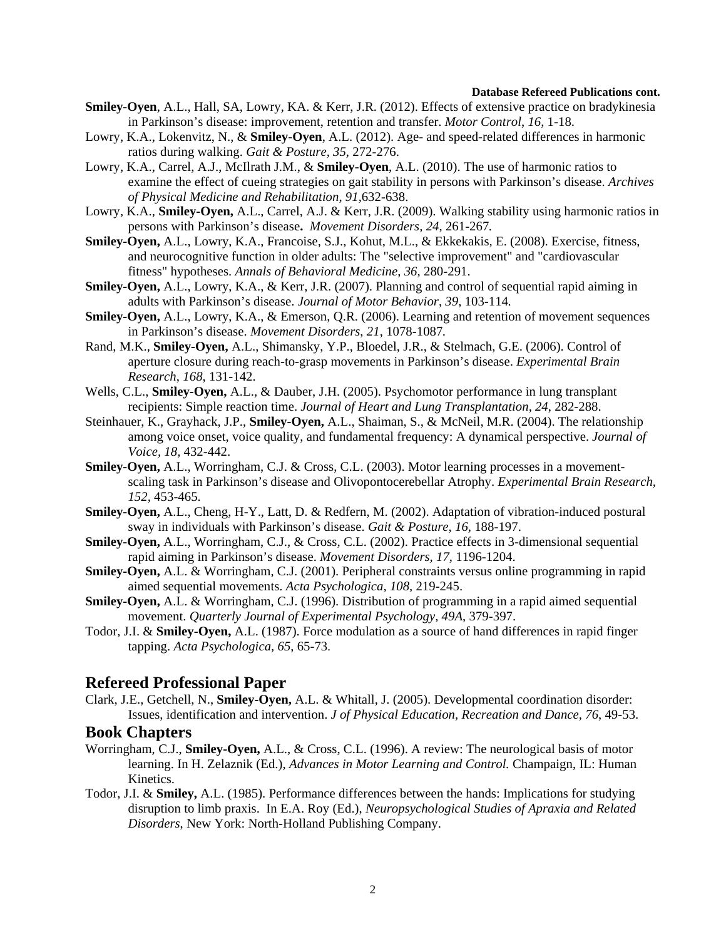#### **Database Refereed Publications cont.**

- **Smiley-Oyen**, A.L., Hall, SA, Lowry, KA. & Kerr, J.R. (2012). Effects of extensive practice on bradykinesia in Parkinson's disease: improvement, retention and transfer. *Motor Control*, *16*, 1-18.
- Lowry, K.A., Lokenvitz, N., & **Smiley-Oyen**, A.L. (2012). Age- and speed-related differences in harmonic ratios during walking. *Gait & Posture, 35*, 272-276.
- Lowry, K.A., Carrel, A.J., McIlrath J.M., & **Smiley-Oyen**, A.L. (2010). The use of harmonic ratios to examine the effect of cueing strategies on gait stability in persons with Parkinson's disease. *Archives of Physical Medicine and Rehabilitation, 91,*632-638.
- Lowry, K.A., **Smiley-Oyen,** A.L., Carrel, A.J. & Kerr, J.R. (2009). Walking stability using harmonic ratios in persons with Parkinson's disease**.** *Movement Disorders, 24*, 261-267*.*
- **Smiley-Oyen,** A.L., Lowry, K.A., Francoise, S.J., Kohut, M.L., & Ekkekakis, E. (2008). Exercise, fitness, and neurocognitive function in older adults: The "selective improvement" and "cardiovascular fitness" hypotheses. *Annals of Behavioral Medicine*, *36*, 280-291.
- **Smiley-Oyen,** A.L., Lowry, K.A., & Kerr, J.R. (2007). Planning and control of sequential rapid aiming in adults with Parkinson's disease. *Journal of Motor Behavior*, *39*, 103-114*.*
- **Smiley-Oyen,** A.L., Lowry, K.A., & Emerson, Q.R. (2006). Learning and retention of movement sequences in Parkinson's disease. *Movement Disorders*, *21*, 1078-1087*.*
- Rand, M.K., **Smiley-Oyen,** A.L., Shimansky, Y.P., Bloedel, J.R., & Stelmach, G.E. (2006). Control of aperture closure during reach-to-grasp movements in Parkinson's disease. *Experimental Brain Research*, *168*, 131-142.
- Wells, C.L., **Smiley-Oyen,** A.L., & Dauber, J.H. (2005). Psychomotor performance in lung transplant recipients: Simple reaction time. *Journal of Heart and Lung Transplantation, 24*, 282-288.
- Steinhauer, K., Grayhack, J.P., **Smiley-Oyen,** A.L., Shaiman, S., & McNeil, M.R. (2004). The relationship among voice onset, voice quality, and fundamental frequency: A dynamical perspective. *Journal of Voice, 18,* 432-442.
- **Smiley-Oyen,** A.L., Worringham, C.J. & Cross, C.L. (2003). Motor learning processes in a movementscaling task in Parkinson's disease and Olivopontocerebellar Atrophy. *Experimental Brain Research, 152,* 453-465.
- **Smiley-Oyen,** A.L., Cheng, H-Y., Latt, D. & Redfern, M. (2002). Adaptation of vibration-induced postural sway in individuals with Parkinson's disease. *Gait & Posture, 16,* 188-197.
- **Smiley-Oyen,** A.L., Worringham, C.J., & Cross, C.L. (2002). Practice effects in 3-dimensional sequential rapid aiming in Parkinson's disease. *Movement Disorders, 17,* 1196-1204.
- **Smiley-Oyen,** A.L. & Worringham, C.J. (2001). Peripheral constraints versus online programming in rapid aimed sequential movements. *Acta Psychologica, 108,* 219-245.
- **Smiley-Oyen,** A.L. & Worringham, C.J. (1996). Distribution of programming in a rapid aimed sequential movement. *Quarterly Journal of Experimental Psychology, 49A*, 379-397.
- Todor, J.I. & **Smiley-Oyen,** A.L. (1987). Force modulation as a source of hand differences in rapid finger tapping. *Acta Psychologica, 65*, 65-73.

### **Refereed Professional Paper**

Clark, J.E., Getchell, N., **Smiley-Oyen,** A.L. & Whitall, J. (2005). Developmental coordination disorder: Issues, identification and intervention. *J of Physical Education, Recreation and Dance, 76*, 49-53.

### **Book Chapters**

- Worringham, C.J., **Smiley-Oyen,** A.L., & Cross, C.L. (1996). A review: The neurological basis of motor learning. In H. Zelaznik (Ed.), *Advances in Motor Learning and Control.* Champaign, IL: Human Kinetics.
- Todor, J.I. & **Smiley,** A.L. (1985). Performance differences between the hands: Implications for studying disruption to limb praxis. In E.A. Roy (Ed.), *Neuropsychological Studies of Apraxia and Related Disorders*, New York: North-Holland Publishing Company.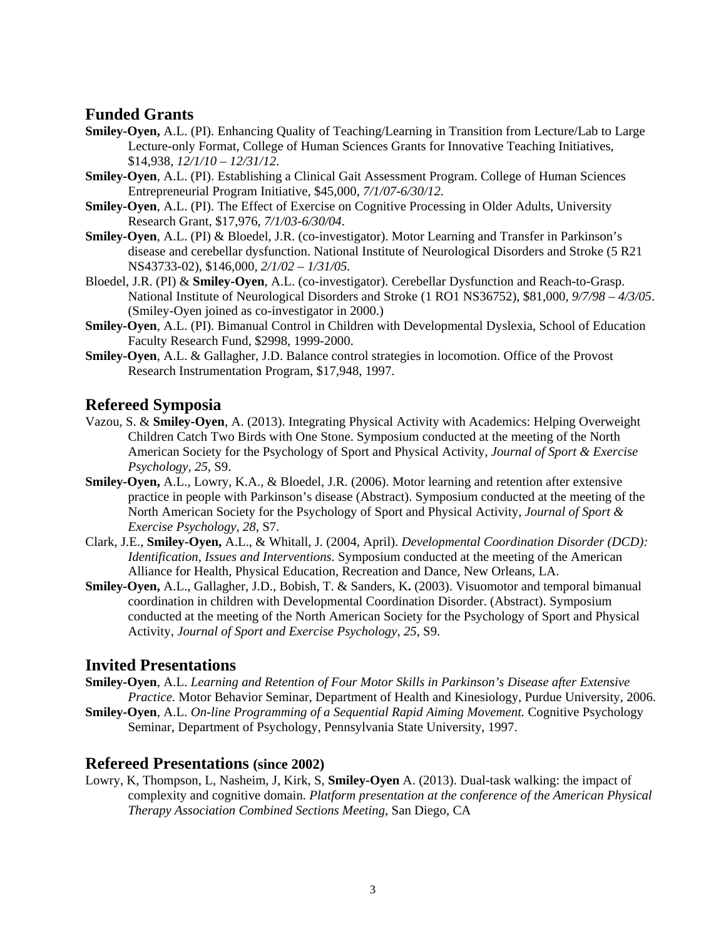# **Funded Grants**

- **Smiley-Oyen,** A.L. (PI). Enhancing Quality of Teaching/Learning in Transition from Lecture/Lab to Large Lecture-only Format, College of Human Sciences Grants for Innovative Teaching Initiatives, \$14,938, *12/1/10 – 12/31/12*.
- **Smiley-Oyen**, A.L. (PI). Establishing a Clinical Gait Assessment Program. College of Human Sciences Entrepreneurial Program Initiative, \$45,000, *7/1/07-6/30/12*.
- **Smiley-Oyen**, A.L. (PI). The Effect of Exercise on Cognitive Processing in Older Adults, University Research Grant, \$17,976, *7/1/03-6/30/04*.
- **Smiley-Oyen**, A.L. (PI) & Bloedel, J.R. (co-investigator). Motor Learning and Transfer in Parkinson's disease and cerebellar dysfunction. National Institute of Neurological Disorders and Stroke (5 R21 NS43733-02), \$146,000, *2/1/02 – 1/31/05.*
- Bloedel, J.R. (PI) & **Smiley-Oyen**, A.L. (co-investigator). Cerebellar Dysfunction and Reach-to-Grasp. National Institute of Neurological Disorders and Stroke (1 RO1 NS36752), \$81,000, *9/7/98 – 4/3/05*. (Smiley-Oyen joined as co-investigator in 2000.)
- **Smiley-Oyen**, A.L. (PI). Bimanual Control in Children with Developmental Dyslexia, School of Education Faculty Research Fund, \$2998, 1999-2000.
- **Smiley-Oyen**, A.L. & Gallagher, J.D. Balance control strategies in locomotion. Office of the Provost Research Instrumentation Program, \$17,948, 1997.

# **Refereed Symposia**

- Vazou, S. & **Smiley-Oyen**, A. (2013). Integrating Physical Activity with Academics: Helping Overweight Children Catch Two Birds with One Stone. Symposium conducted at the meeting of the North American Society for the Psychology of Sport and Physical Activity, *Journal of Sport & Exercise Psychology, 25*, S9.
- **Smiley-Oyen,** A.L., Lowry, K.A., & Bloedel, J.R. (2006). Motor learning and retention after extensive practice in people with Parkinson's disease (Abstract). Symposium conducted at the meeting of the North American Society for the Psychology of Sport and Physical Activity, *Journal of Sport & Exercise Psychology, 28*, S7.
- Clark, J.E., **Smiley-Oyen,** A.L., & Whitall, J. (2004, April). *Developmental Coordination Disorder (DCD): Identification, Issues and Interventions*. Symposium conducted at the meeting of the American Alliance for Health, Physical Education, Recreation and Dance, New Orleans, LA.
- **Smiley-Oyen,** A.L., Gallagher, J.D., Bobish, T. & Sanders, K**.** (2003). Visuomotor and temporal bimanual coordination in children with Developmental Coordination Disorder. (Abstract). Symposium conducted at the meeting of the North American Society for the Psychology of Sport and Physical Activity, *Journal of Sport and Exercise Psychology, 25*, S9.

## **Invited Presentations**

- **Smiley-Oyen**, A.L. *Learning and Retention of Four Motor Skills in Parkinson's Disease after Extensive Practice.* Motor Behavior Seminar, Department of Health and Kinesiology, Purdue University, 2006.
- **Smiley-Oyen**, A.L. *On-line Programming of a Sequential Rapid Aiming Movement.* Cognitive Psychology Seminar, Department of Psychology, Pennsylvania State University, 1997.

## **Refereed Presentations (since 2002)**

Lowry, K, Thompson, L, Nasheim, J, Kirk, S, **Smiley-Oyen** A. (2013). Dual-task walking: the impact of complexity and cognitive domain. *Platform presentation at the conference of the American Physical Therapy Association Combined Sections Meeting*, San Diego, CA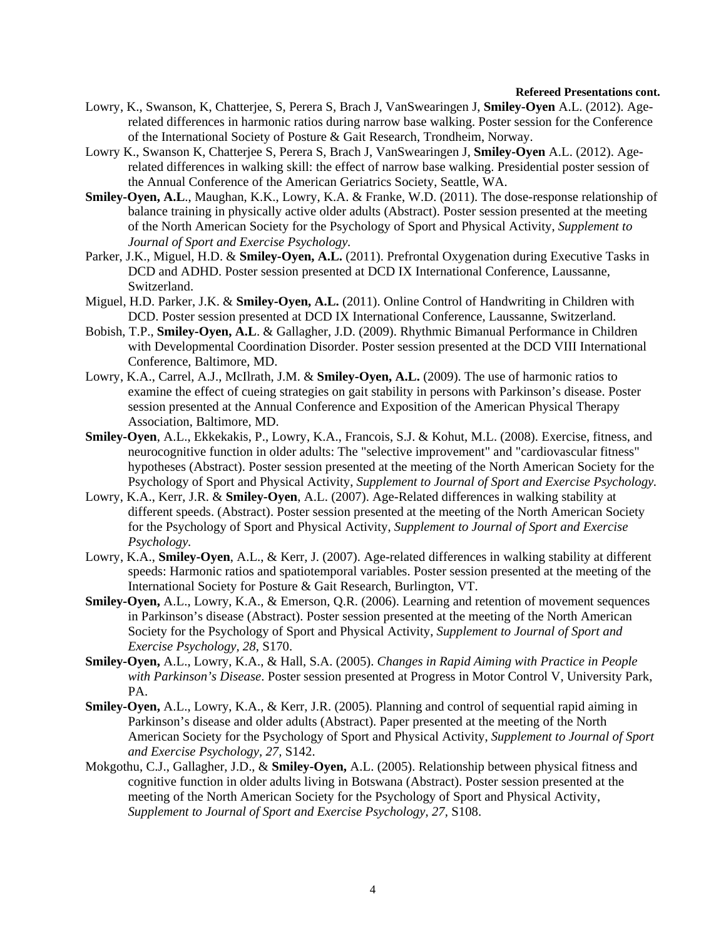#### **Refereed Presentations cont.**

- Lowry, K., Swanson, K, Chatterjee, S, Perera S, Brach J, VanSwearingen J, **Smiley-Oyen** A.L. (2012). Agerelated differences in harmonic ratios during narrow base walking. Poster session for the Conference of the International Society of Posture & Gait Research, Trondheim, Norway.
- Lowry K., Swanson K, Chatterjee S, Perera S, Brach J, VanSwearingen J, **Smiley-Oyen** A.L. (2012). Agerelated differences in walking skill: the effect of narrow base walking. Presidential poster session of the Annual Conference of the American Geriatrics Society, Seattle, WA.
- **Smiley-Oyen, A.L**., Maughan, K.K., Lowry, K.A. & Franke, W.D. (2011). The dose-response relationship of balance training in physically active older adults (Abstract). Poster session presented at the meeting of the North American Society for the Psychology of Sport and Physical Activity, *Supplement to Journal of Sport and Exercise Psychology.*
- Parker, J.K., Miguel, H.D. & **Smiley-Oyen, A.L.** (2011). Prefrontal Oxygenation during Executive Tasks in DCD and ADHD. Poster session presented at DCD IX International Conference, Laussanne, Switzerland.
- Miguel, H.D. Parker, J.K. & **Smiley-Oyen, A.L.** (2011). Online Control of Handwriting in Children with DCD. Poster session presented at DCD IX International Conference, Laussanne, Switzerland.
- Bobish, T.P., **Smiley-Oyen, A.L**. & Gallagher, J.D. (2009). Rhythmic Bimanual Performance in Children with Developmental Coordination Disorder. Poster session presented at the DCD VIII International Conference, Baltimore, MD.
- Lowry, K.A., Carrel, A.J., McIlrath, J.M. & **Smiley-Oyen, A.L.** (2009). The use of harmonic ratios to examine the effect of cueing strategies on gait stability in persons with Parkinson's disease. Poster session presented at the Annual Conference and Exposition of the American Physical Therapy Association, Baltimore, MD.
- **Smiley-Oyen**, A.L., Ekkekakis, P., Lowry, K.A., Francois, S.J. & Kohut, M.L. (2008). Exercise, fitness, and neurocognitive function in older adults: The "selective improvement" and "cardiovascular fitness" hypotheses (Abstract). Poster session presented at the meeting of the North American Society for the Psychology of Sport and Physical Activity, *Supplement to Journal of Sport and Exercise Psychology.*
- Lowry, K.A., Kerr, J.R. & **Smiley-Oyen**, A.L. (2007). Age-Related differences in walking stability at different speeds. (Abstract). Poster session presented at the meeting of the North American Society for the Psychology of Sport and Physical Activity, *Supplement to Journal of Sport and Exercise Psychology.*
- Lowry, K.A., **Smiley-Oyen**, A.L., & Kerr, J. (2007). Age-related differences in walking stability at different speeds: Harmonic ratios and spatiotemporal variables. Poster session presented at the meeting of the International Society for Posture & Gait Research, Burlington, VT.
- **Smiley-Oyen,** A.L., Lowry, K.A., & Emerson, Q.R. (2006). Learning and retention of movement sequences in Parkinson's disease (Abstract). Poster session presented at the meeting of the North American Society for the Psychology of Sport and Physical Activity, *Supplement to Journal of Sport and Exercise Psychology, 28*, S170.
- **Smiley-Oyen,** A.L., Lowry, K.A., & Hall, S.A. (2005). *Changes in Rapid Aiming with Practice in People with Parkinson's Disease*. Poster session presented at Progress in Motor Control V, University Park, PA.
- **Smiley-Oyen,** A.L., Lowry, K.A., & Kerr, J.R. (2005). Planning and control of sequential rapid aiming in Parkinson's disease and older adults (Abstract). Paper presented at the meeting of the North American Society for the Psychology of Sport and Physical Activity, *Supplement to Journal of Sport and Exercise Psychology, 27,* S142.
- Mokgothu, C.J., Gallagher, J.D., & **Smiley-Oyen,** A.L. (2005). Relationship between physical fitness and cognitive function in older adults living in Botswana (Abstract). Poster session presented at the meeting of the North American Society for the Psychology of Sport and Physical Activity, *Supplement to Journal of Sport and Exercise Psychology, 27,* S108.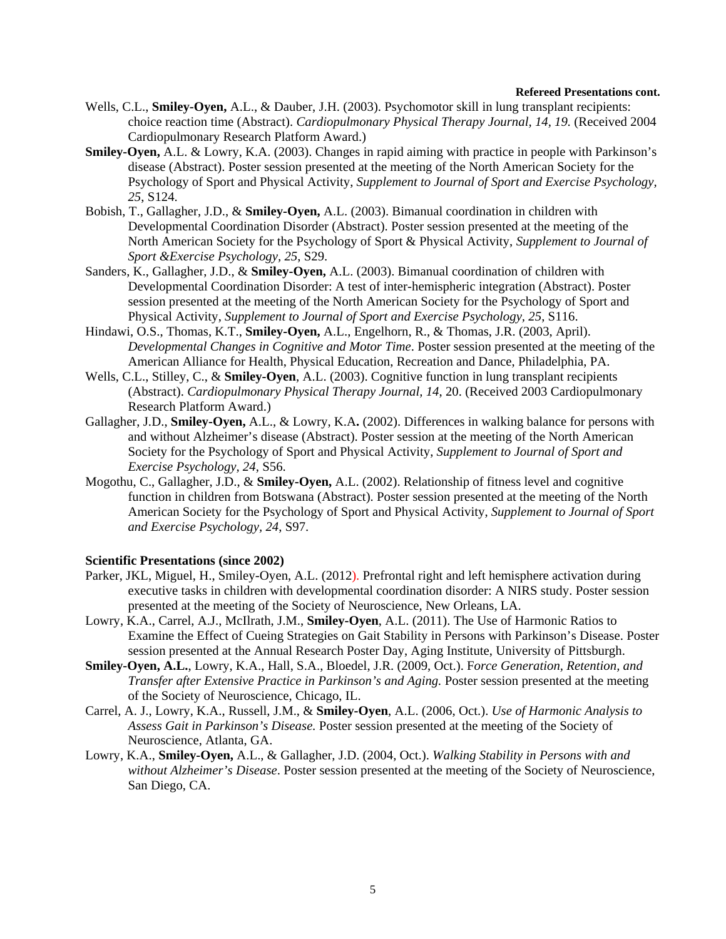#### **Refereed Presentations cont.**

- Wells, C.L., **Smiley-Oyen,** A.L., & Dauber, J.H. (2003). Psychomotor skill in lung transplant recipients: choice reaction time (Abstract). *Cardiopulmonary Physical Therapy Journal, 14, 19.* (Received 2004 Cardiopulmonary Research Platform Award.)
- **Smiley-Oyen,** A.L. & Lowry, K.A. (2003). Changes in rapid aiming with practice in people with Parkinson's disease (Abstract). Poster session presented at the meeting of the North American Society for the Psychology of Sport and Physical Activity, *Supplement to Journal of Sport and Exercise Psychology, 25*, S124.
- Bobish, T., Gallagher, J.D., & **Smiley-Oyen,** A.L. (2003). Bimanual coordination in children with Developmental Coordination Disorder (Abstract). Poster session presented at the meeting of the North American Society for the Psychology of Sport & Physical Activity, *Supplement to Journal of Sport &Exercise Psychology, 25*, S29.
- Sanders, K., Gallagher, J.D., & **Smiley-Oyen,** A.L. (2003). Bimanual coordination of children with Developmental Coordination Disorder: A test of inter-hemispheric integration (Abstract). Poster session presented at the meeting of the North American Society for the Psychology of Sport and Physical Activity, *Supplement to Journal of Sport and Exercise Psychology, 25*, S116.
- Hindawi, O.S., Thomas, K.T., **Smiley-Oyen,** A.L., Engelhorn, R., & Thomas, J.R. (2003, April). *Developmental Changes in Cognitive and Motor Time*. Poster session presented at the meeting of the American Alliance for Health, Physical Education, Recreation and Dance, Philadelphia, PA.
- Wells, C.L., Stilley, C., & **Smiley-Oyen**, A.L. (2003). Cognitive function in lung transplant recipients (Abstract). *Cardiopulmonary Physical Therapy Journal, 14*, 20. (Received 2003 Cardiopulmonary Research Platform Award.)
- Gallagher, J.D., **Smiley-Oyen,** A.L., & Lowry, K.A**.** (2002). Differences in walking balance for persons with and without Alzheimer's disease (Abstract). Poster session at the meeting of the North American Society for the Psychology of Sport and Physical Activity, *Supplement to Journal of Sport and Exercise Psychology, 24*, S56.
- Mogothu, C., Gallagher, J.D., & **Smiley-Oyen,** A.L. (2002). Relationship of fitness level and cognitive function in children from Botswana (Abstract). Poster session presented at the meeting of the North American Society for the Psychology of Sport and Physical Activity, *Supplement to Journal of Sport and Exercise Psychology, 24*, S97.

#### **Scientific Presentations (since 2002)**

- Parker, JKL, Miguel, H., Smiley-Oyen, A.L. (2012). Prefrontal right and left hemisphere activation during executive tasks in children with developmental coordination disorder: A NIRS study. Poster session presented at the meeting of the Society of Neuroscience, New Orleans, LA.
- Lowry, K.A., Carrel, A.J., McIlrath, J.M., **Smiley-Oyen**, A.L. (2011). The Use of Harmonic Ratios to Examine the Effect of Cueing Strategies on Gait Stability in Persons with Parkinson's Disease. Poster session presented at the Annual Research Poster Day, Aging Institute, University of Pittsburgh.
- **Smiley-Oyen, A.L.**, Lowry, K.A., Hall, S.A., Bloedel, J.R. (2009, Oct.). F*orce Generation, Retention, and Transfer after Extensive Practice in Parkinson's and Aging.* Poster session presented at the meeting of the Society of Neuroscience, Chicago, IL.
- Carrel, A. J., Lowry, K.A., Russell, J.M., & **Smiley-Oyen**, A.L. (2006, Oct.). *Use of Harmonic Analysis to Assess Gait in Parkinson's Disease.* Poster session presented at the meeting of the Society of Neuroscience, Atlanta, GA.
- Lowry, K.A., **Smiley-Oyen,** A.L., & Gallagher, J.D. (2004, Oct.). *Walking Stability in Persons with and without Alzheimer's Disease*. Poster session presented at the meeting of the Society of Neuroscience, San Diego, CA.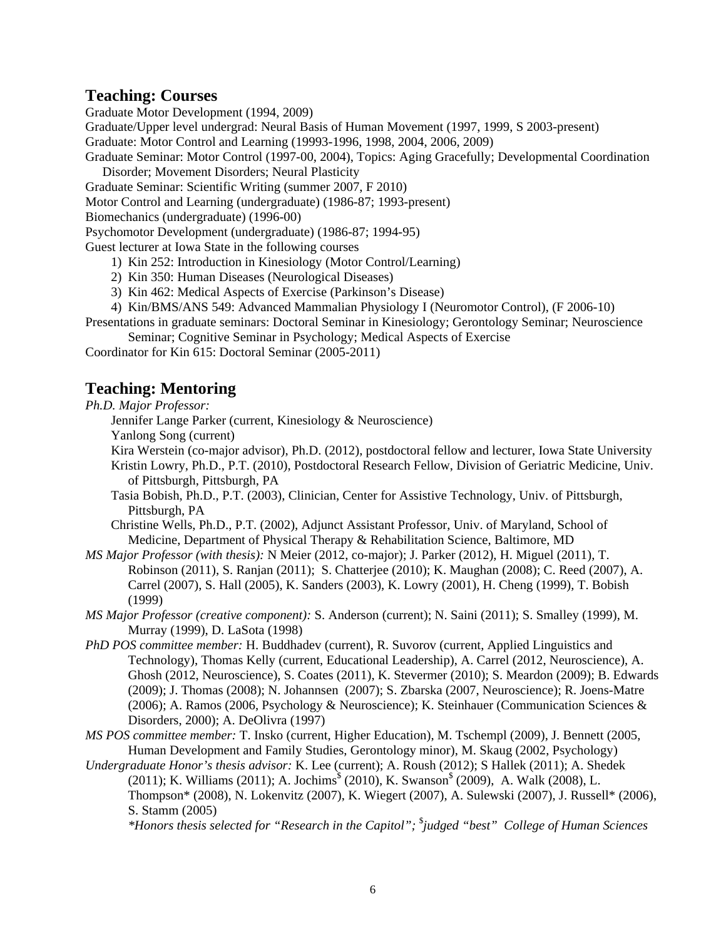## **Teaching: Courses**

Graduate Motor Development (1994, 2009)

Graduate/Upper level undergrad: Neural Basis of Human Movement (1997, 1999, S 2003-present) Graduate: Motor Control and Learning (19993-1996, 1998, 2004, 2006, 2009)

Graduate Seminar: Motor Control (1997-00, 2004), Topics: Aging Gracefully; Developmental Coordination Disorder; Movement Disorders; Neural Plasticity

Graduate Seminar: Scientific Writing (summer 2007, F 2010)

Motor Control and Learning (undergraduate) (1986-87; 1993-present)

Biomechanics (undergraduate) (1996-00)

Psychomotor Development (undergraduate) (1986-87; 1994-95)

Guest lecturer at Iowa State in the following courses

- 1) Kin 252: Introduction in Kinesiology (Motor Control/Learning)
- 2) Kin 350: Human Diseases (Neurological Diseases)
- 3) Kin 462: Medical Aspects of Exercise (Parkinson's Disease)
- 4) Kin/BMS/ANS 549: Advanced Mammalian Physiology I (Neuromotor Control), (F 2006-10)

Presentations in graduate seminars: Doctoral Seminar in Kinesiology; Gerontology Seminar; Neuroscience Seminar; Cognitive Seminar in Psychology; Medical Aspects of Exercise

Coordinator for Kin 615: Doctoral Seminar (2005-2011)

# **Teaching: Mentoring**

*Ph.D. Major Professor:*

Jennifer Lange Parker (current, Kinesiology & Neuroscience)

Yanlong Song (current)

Kira Werstein (co-major advisor), Ph.D. (2012), postdoctoral fellow and lecturer, Iowa State University Kristin Lowry, Ph.D., P.T. (2010), Postdoctoral Research Fellow, Division of Geriatric Medicine, Univ. of Pittsburgh, Pittsburgh, PA

Tasia Bobish, Ph.D., P.T. (2003), Clinician, Center for Assistive Technology, Univ. of Pittsburgh, Pittsburgh, PA

Christine Wells, Ph.D., P.T. (2002), Adjunct Assistant Professor, Univ. of Maryland, School of Medicine, Department of Physical Therapy & Rehabilitation Science, Baltimore, MD

*MS Major Professor (with thesis):* N Meier (2012, co-major); J. Parker (2012), H. Miguel (2011), T. Robinson (2011), S. Ranjan (2011); S. Chatterjee (2010); K. Maughan (2008); C. Reed (2007), A. Carrel (2007), S. Hall (2005), K. Sanders (2003), K. Lowry (2001), H. Cheng (1999), T. Bobish (1999)

*MS Major Professor (creative component):* S. Anderson (current); N. Saini (2011); S. Smalley (1999), M. Murray (1999), D. LaSota (1998)

- *PhD POS committee member:* H. Buddhadev (current), R. Suvorov (current, Applied Linguistics and Technology), Thomas Kelly (current, Educational Leadership), A. Carrel (2012, Neuroscience), A. Ghosh (2012, Neuroscience), S. Coates (2011), K. Stevermer (2010); S. Meardon (2009); B. Edwards (2009); J. Thomas (2008); N. Johannsen (2007); S. Zbarska (2007, Neuroscience); R. Joens-Matre (2006); A. Ramos (2006, Psychology & Neuroscience); K. Steinhauer (Communication Sciences & Disorders, 2000); A. DeOlivra (1997)
- *MS POS committee member:* T. Insko (current, Higher Education), M. Tschempl (2009), J. Bennett (2005, Human Development and Family Studies, Gerontology minor), M. Skaug (2002, Psychology)
- *Undergraduate Honor's thesis advisor:* K. Lee (current); A. Roush (2012); S Hallek (2011); A. Shedek (2011); K. Williams (2011); A. Jochims<sup>§</sup> (2010), K. Swanson<sup>§</sup> (2009), A. Walk (2008), L. Thompson\* (2008), N. Lokenvitz (2007), K. Wiegert (2007), A. Sulewski (2007), J. Russell\* (2006), S. Stamm (2005)

*\*Honors thesis selected for "Research in the Capitol";* \$ *judged "best" College of Human Sciences*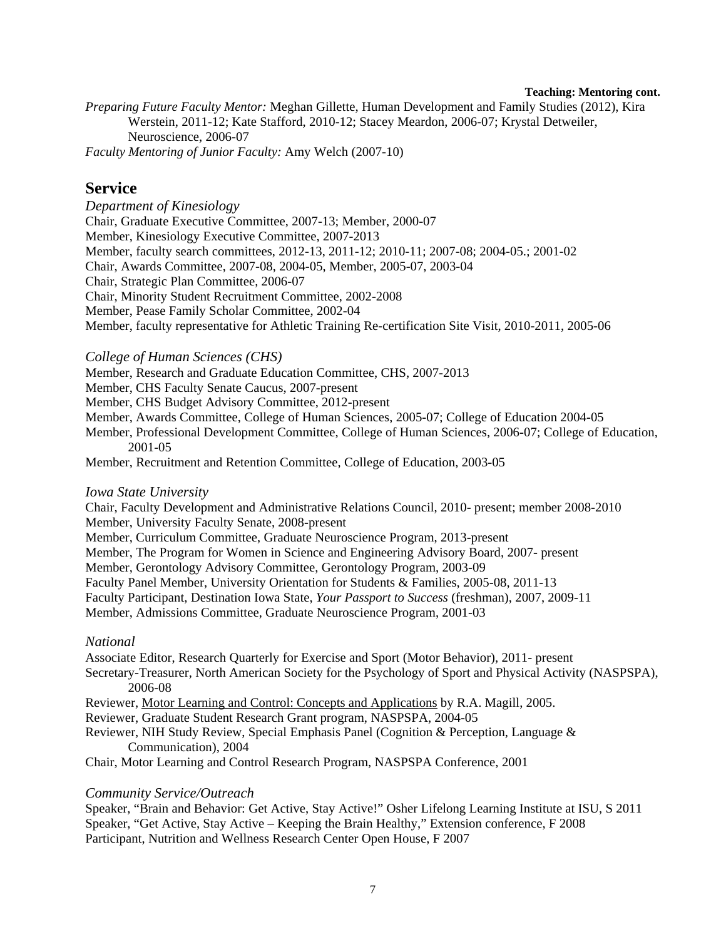#### **Teaching: Mentoring cont.**

*Preparing Future Faculty Mentor:* Meghan Gillette, Human Development and Family Studies (2012), Kira Werstein, 2011-12; Kate Stafford, 2010-12; Stacey Meardon, 2006-07; Krystal Detweiler, Neuroscience, 2006-07 *Faculty Mentoring of Junior Faculty:* Amy Welch (2007-10)

### **Service**

*Department of Kinesiology*  Chair, Graduate Executive Committee, 2007-13; Member, 2000-07 Member, Kinesiology Executive Committee, 2007-2013 Member, faculty search committees, 2012-13, 2011-12; 2010-11; 2007-08; 2004-05.; 2001-02 Chair, Awards Committee, 2007-08, 2004-05, Member, 2005-07, 2003-04 Chair, Strategic Plan Committee, 2006-07 Chair, Minority Student Recruitment Committee, 2002-2008 Member, Pease Family Scholar Committee, 2002-04 Member, faculty representative for Athletic Training Re-certification Site Visit, 2010-2011, 2005-06

*College of Human Sciences (CHS)* 

Member, Research and Graduate Education Committee, CHS, 2007-2013

Member, CHS Faculty Senate Caucus, 2007-present

Member, CHS Budget Advisory Committee, 2012-present

Member, Awards Committee, College of Human Sciences, 2005-07; College of Education 2004-05

Member, Professional Development Committee, College of Human Sciences, 2006-07; College of Education, 2001-05

Member, Recruitment and Retention Committee, College of Education, 2003-05

#### *Iowa State University*

Chair, Faculty Development and Administrative Relations Council, 2010- present; member 2008-2010 Member, University Faculty Senate, 2008-present

Member, Curriculum Committee, Graduate Neuroscience Program, 2013-present

Member, The Program for Women in Science and Engineering Advisory Board, 2007- present

Member, Gerontology Advisory Committee, Gerontology Program, 2003-09

Faculty Panel Member, University Orientation for Students & Families, 2005-08, 2011-13

Faculty Participant, Destination Iowa State, *Your Passport to Success* (freshman), 2007, 2009-11

Member, Admissions Committee, Graduate Neuroscience Program, 2001-03

### *National*

Associate Editor, Research Quarterly for Exercise and Sport (Motor Behavior), 2011- present

Secretary-Treasurer, North American Society for the Psychology of Sport and Physical Activity (NASPSPA), 2006-08

Reviewer, Motor Learning and Control: Concepts and Applications by R.A. Magill, 2005.

Reviewer, Graduate Student Research Grant program, NASPSPA, 2004-05

Reviewer, NIH Study Review, Special Emphasis Panel (Cognition & Perception, Language & Communication), 2004

Chair, Motor Learning and Control Research Program, NASPSPA Conference, 2001

### *Community Service/Outreach*

Speaker, "Brain and Behavior: Get Active, Stay Active!" Osher Lifelong Learning Institute at ISU, S 2011 Speaker, "Get Active, Stay Active – Keeping the Brain Healthy," Extension conference, F 2008 Participant, Nutrition and Wellness Research Center Open House, F 2007